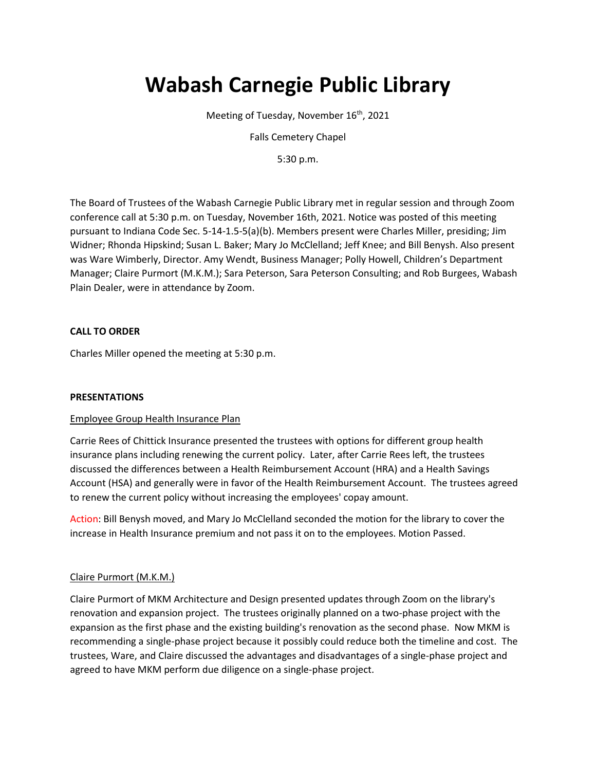# **Wabash Carnegie Public Library**

Meeting of Tuesday, November 16<sup>th</sup>, 2021

Falls Cemetery Chapel

5:30 p.m.

The Board of Trustees of the Wabash Carnegie Public Library met in regular session and through Zoom conference call at 5:30 p.m. on Tuesday, November 16th, 2021. Notice was posted of this meeting pursuant to Indiana Code Sec. 5-14-1.5-5(a)(b). Members present were Charles Miller, presiding; Jim Widner; Rhonda Hipskind; Susan L. Baker; Mary Jo McClelland; Jeff Knee; and Bill Benysh. Also present was Ware Wimberly, Director. Amy Wendt, Business Manager; Polly Howell, Children's Department Manager; Claire Purmort (M.K.M.); Sara Peterson, Sara Peterson Consulting; and Rob Burgees, Wabash Plain Dealer, were in attendance by Zoom.

# **CALL TO ORDER**

Charles Miller opened the meeting at 5:30 p.m.

## **PRESENTATIONS**

## Employee Group Health Insurance Plan

Carrie Rees of Chittick Insurance presented the trustees with options for different group health insurance plans including renewing the current policy. Later, after Carrie Rees left, the trustees discussed the differences between a Health Reimbursement Account (HRA) and a Health Savings Account (HSA) and generally were in favor of the Health Reimbursement Account. The trustees agreed to renew the current policy without increasing the employees' copay amount.

Action: Bill Benysh moved, and Mary Jo McClelland seconded the motion for the library to cover the increase in Health Insurance premium and not pass it on to the employees. Motion Passed.

## Claire Purmort (M.K.M.)

Claire Purmort of MKM Architecture and Design presented updates through Zoom on the library's renovation and expansion project. The trustees originally planned on a two-phase project with the expansion as the first phase and the existing building's renovation as the second phase. Now MKM is recommending a single-phase project because it possibly could reduce both the timeline and cost. The trustees, Ware, and Claire discussed the advantages and disadvantages of a single-phase project and agreed to have MKM perform due diligence on a single-phase project.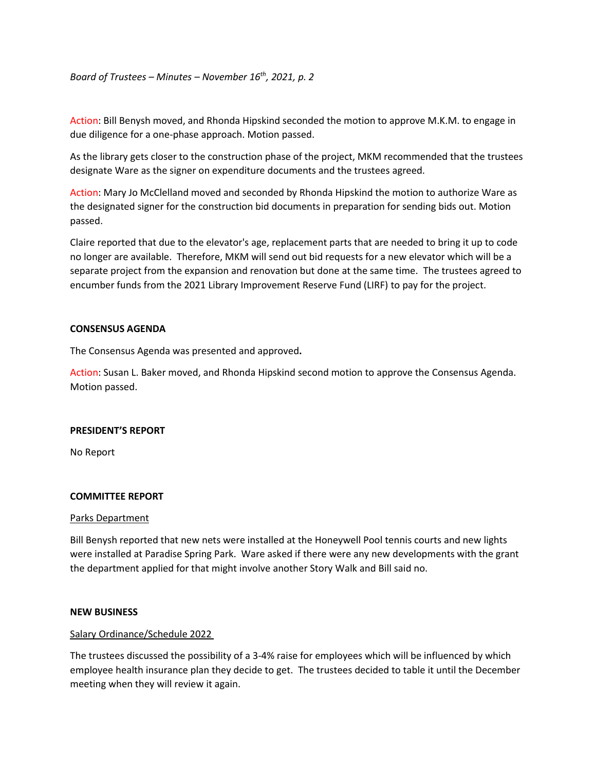*Board of Trustees – Minutes – November 16th, 2021, p. 2*

Action: Bill Benysh moved, and Rhonda Hipskind seconded the motion to approve M.K.M. to engage in due diligence for a one-phase approach. Motion passed.

As the library gets closer to the construction phase of the project, MKM recommended that the trustees designate Ware as the signer on expenditure documents and the trustees agreed.

Action: Mary Jo McClelland moved and seconded by Rhonda Hipskind the motion to authorize Ware as the designated signer for the construction bid documents in preparation for sending bids out. Motion passed.

Claire reported that due to the elevator's age, replacement parts that are needed to bring it up to code no longer are available. Therefore, MKM will send out bid requests for a new elevator which will be a separate project from the expansion and renovation but done at the same time. The trustees agreed to encumber funds from the 2021 Library Improvement Reserve Fund (LIRF) to pay for the project.

## **CONSENSUS AGENDA**

The Consensus Agenda was presented and approved**.**

Action: Susan L. Baker moved, and Rhonda Hipskind second motion to approve the Consensus Agenda. Motion passed.

## **PRESIDENT'S REPORT**

No Report

## **COMMITTEE REPORT**

## Parks Department

Bill Benysh reported that new nets were installed at the Honeywell Pool tennis courts and new lights were installed at Paradise Spring Park. Ware asked if there were any new developments with the grant the department applied for that might involve another Story Walk and Bill said no.

## **NEW BUSINESS**

## Salary Ordinance/Schedule 2022

The trustees discussed the possibility of a 3-4% raise for employees which will be influenced by which employee health insurance plan they decide to get. The trustees decided to table it until the December meeting when they will review it again.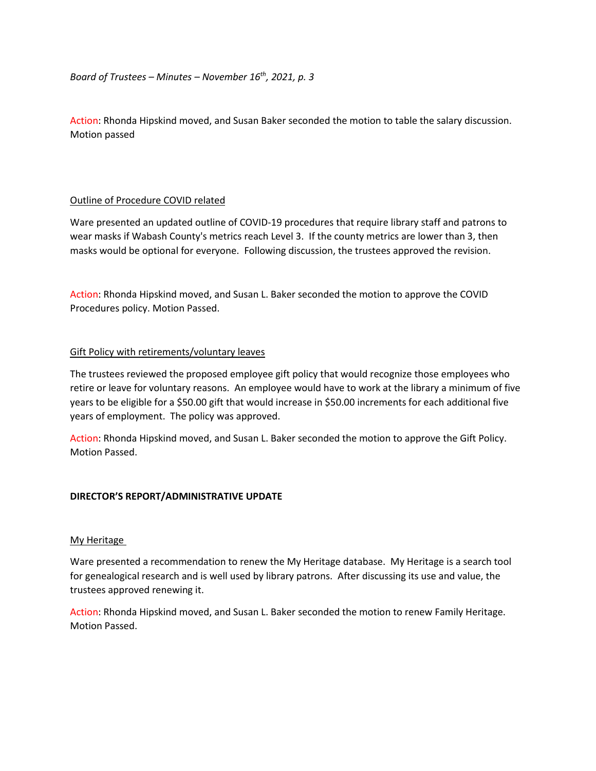Action: Rhonda Hipskind moved, and Susan Baker seconded the motion to table the salary discussion. Motion passed

# Outline of Procedure COVID related

Ware presented an updated outline of COVID-19 procedures that require library staff and patrons to wear masks if Wabash County's metrics reach Level 3. If the county metrics are lower than 3, then masks would be optional for everyone. Following discussion, the trustees approved the revision.

Action: Rhonda Hipskind moved, and Susan L. Baker seconded the motion to approve the COVID Procedures policy. Motion Passed.

# Gift Policy with retirements/voluntary leaves

The trustees reviewed the proposed employee gift policy that would recognize those employees who retire or leave for voluntary reasons. An employee would have to work at the library a minimum of five years to be eligible for a \$50.00 gift that would increase in \$50.00 increments for each additional five years of employment. The policy was approved.

Action: Rhonda Hipskind moved, and Susan L. Baker seconded the motion to approve the Gift Policy. Motion Passed.

# **DIRECTOR'S REPORT/ADMINISTRATIVE UPDATE**

# My Heritage

Ware presented a recommendation to renew the My Heritage database. My Heritage is a search tool for genealogical research and is well used by library patrons. After discussing its use and value, the trustees approved renewing it.

Action: Rhonda Hipskind moved, and Susan L. Baker seconded the motion to renew Family Heritage. Motion Passed.